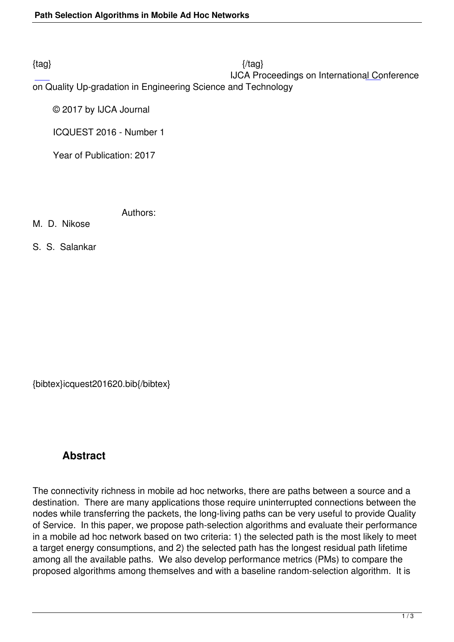IJCA Proceedings on International Conference

on Quality Up-gradation in Engineering Science and Technology

© 2017 by IJCA Journal

ICQUEST 2016 - Number 1

Year of Publication: 2017

Authors:

M. D. Nikose

S. S. Salankar

{bibtex}icquest201620.bib{/bibtex}

## **Abstract**

The connectivity richness in mobile ad hoc networks, there are paths between a source and a destination. There are many applications those require uninterrupted connections between the nodes while transferring the packets, the long-living paths can be very useful to provide Quality of Service. In this paper, we propose path-selection algorithms and evaluate their performance in a mobile ad hoc network based on two criteria: 1) the selected path is the most likely to meet a target energy consumptions, and 2) the selected path has the longest residual path lifetime among all the available paths. We also develop performance metrics (PMs) to compare the proposed algorithms among themselves and with a baseline random-selection algorithm. It is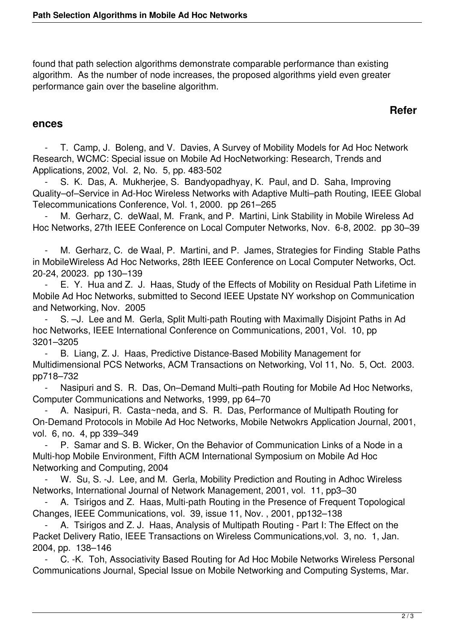found that path selection algorithms demonstrate comparable performance than existing algorithm. As the number of node increases, the proposed algorithms yield even greater performance gain over the baseline algorithm.

## **Refer**

## **ences**

T. Camp, J. Boleng, and V. Davies, A Survey of Mobility Models for Ad Hoc Network Research, WCMC: Special issue on Mobile Ad HocNetworking: Research, Trends and Applications, 2002, Vol. 2, No. 5, pp. 483-502

S. K. Das, A. Mukherjee, S. Bandyopadhyay, K. Paul, and D. Saha, Improving Quality–of–Service in Ad-Hoc Wireless Networks with Adaptive Multi–path Routing, IEEE Global Telecommunications Conference, Vol. 1, 2000. pp 261–265

M. Gerharz, C. deWaal, M. Frank, and P. Martini, Link Stability in Mobile Wireless Ad Hoc Networks, 27th IEEE Conference on Local Computer Networks, Nov. 6-8, 2002. pp 30–39

M. Gerharz, C. de Waal, P. Martini, and P. James, Strategies for Finding Stable Paths in MobileWireless Ad Hoc Networks, 28th IEEE Conference on Local Computer Networks, Oct. 20-24, 20023. pp 130–139

 - E. Y. Hua and Z. J. Haas, Study of the Effects of Mobility on Residual Path Lifetime in Mobile Ad Hoc Networks, submitted to Second IEEE Upstate NY workshop on Communication and Networking, Nov. 2005

S. - J. Lee and M. Gerla, Split Multi-path Routing with Maximally Disjoint Paths in Ad hoc Networks, IEEE International Conference on Communications, 2001, Vol. 10, pp 3201–3205

 - B. Liang, Z. J. Haas, Predictive Distance-Based Mobility Management for Multidimensional PCS Networks, ACM Transactions on Networking, Vol 11, No. 5, Oct. 2003. pp718–732

 - Nasipuri and S. R. Das, On–Demand Multi–path Routing for Mobile Ad Hoc Networks, Computer Communications and Networks, 1999, pp 64–70

A. Nasipuri, R. Casta~neda, and S. R. Das, Performance of Multipath Routing for On-Demand Protocols in Mobile Ad Hoc Networks, Mobile Netwokrs Application Journal, 2001, vol. 6, no. 4, pp 339–349

P. Samar and S. B. Wicker, On the Behavior of Communication Links of a Node in a Multi-hop Mobile Environment, Fifth ACM International Symposium on Mobile Ad Hoc Networking and Computing, 2004

W. Su, S. -J. Lee, and M. Gerla, Mobility Prediction and Routing in Adhoc Wireless Networks, International Journal of Network Management, 2001, vol. 11, pp3–30

A. Tsirigos and Z. Haas, Multi-path Routing in the Presence of Frequent Topological Changes, IEEE Communications, vol. 39, issue 11, Nov. , 2001, pp132–138

A. Tsirigos and Z. J. Haas, Analysis of Multipath Routing - Part I: The Effect on the Packet Delivery Ratio, IEEE Transactions on Wireless Communications,vol. 3, no. 1, Jan. 2004, pp. 138–146

 - C. -K. Toh, Associativity Based Routing for Ad Hoc Mobile Networks Wireless Personal Communications Journal, Special Issue on Mobile Networking and Computing Systems, Mar.